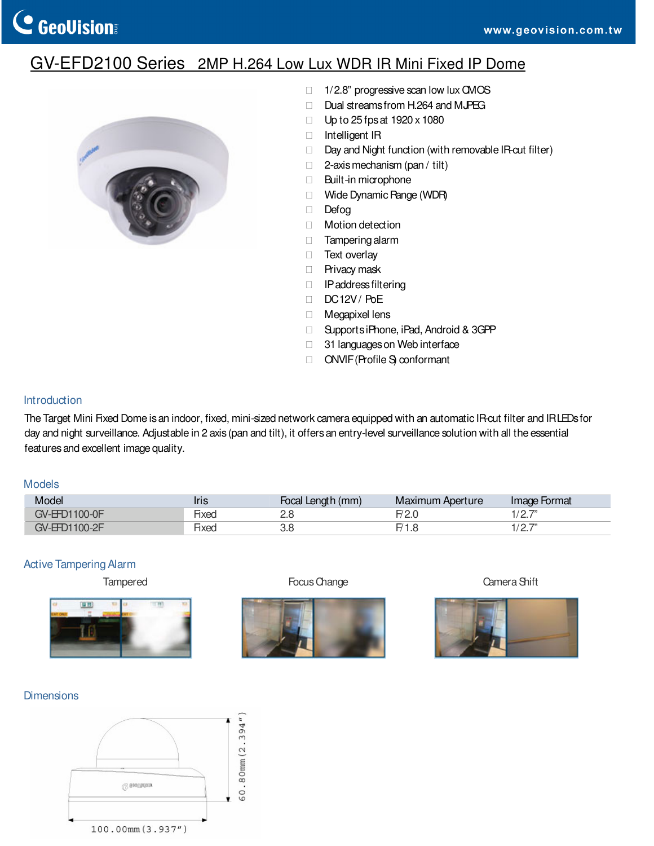# GV-EFD2100 Series 2MP H.264 Low Lux WDR IR Mini Fixed IP Dome



 1/2.8" progressive scan low lux CMOS Dual streams from H.264 and MJPEG Up to 25 fps at 1920 x 1080 Intelligent IR Day and Night function (with removable IR-cut filter) 2-axis mechanism (pan / tilt) Built-in microphone Wide Dynamic Range (WDR) Defog Motion detection Tampering alarm Text overlay Privacy mask IP address filtering DC12V/PoE Megapixel lens Supports iPhone, iPad, Android & 3GPP 31 languages on Web interface ONVIF (Profile S) conformant

#### Introduction

The Target Mini Fixed Dome is an indoor, fixed, mini-sized network camera equipped with an automatic IR-cut filter and IRLEDs for day and night surveillance. Adjustable in 2 axis (pan and tilt), it offers an entry-level surveillance solution with all the essential features and excellent image quality.

#### Models

| Model         | <b>Iris</b> | Focal Length (mm) | Maximum Aperture | Image Format     |
|---------------|-------------|-------------------|------------------|------------------|
| GV-EED1100-0F | Нхес        | ے.د               |                  | 107"             |
| GV-EFD1100-2F | Нхес        | ა.c               |                  | 107"<br><u>.</u> |

#### Active Tampering Alarm



Tampered **Focus Change** Focus Change Camera Shift





## Dimensions

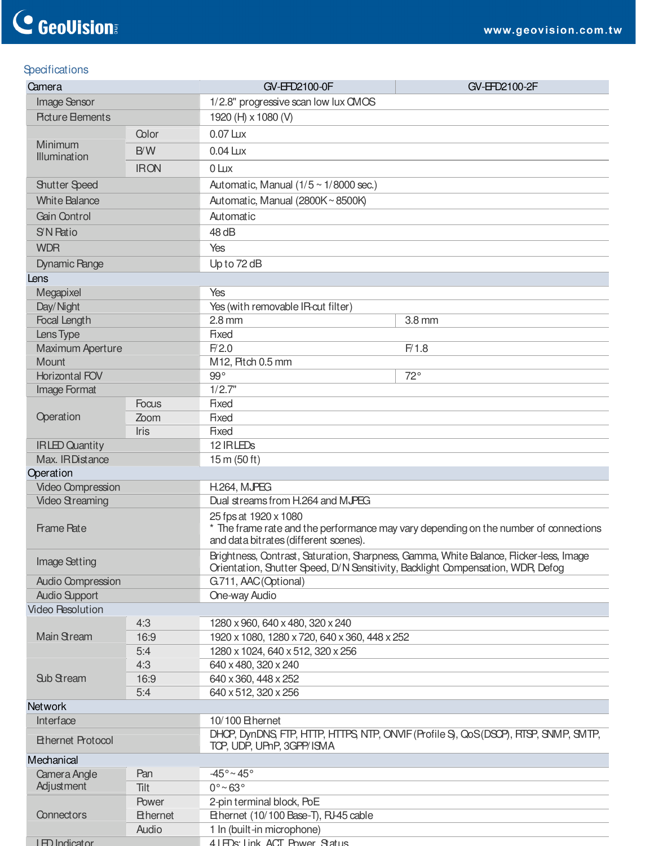# **Specifications**

| Camera                   |                 | GV-EFD2100-0F                                                                                                                                        | GV-EFD2100-2F                                                                          |  |
|--------------------------|-----------------|------------------------------------------------------------------------------------------------------------------------------------------------------|----------------------------------------------------------------------------------------|--|
| Image Sensor             |                 | 1/2.8" progressive scan low lux CMOS                                                                                                                 |                                                                                        |  |
| <b>Picture Elements</b>  |                 | 1920 (H) x 1080 (V)                                                                                                                                  |                                                                                        |  |
|                          | Color           | $0.07$ Lux                                                                                                                                           |                                                                                        |  |
| Minimum                  | B/W             | $0.04 \text{ L}$                                                                                                                                     |                                                                                        |  |
| Illumination             | <b>IRON</b>     | $0 \text{ L}$                                                                                                                                        |                                                                                        |  |
|                          |                 |                                                                                                                                                      |                                                                                        |  |
| <b>Shutter Speed</b>     |                 | Automatic, Manual $(1/5 \sim 1/8000 \text{ sec.})$                                                                                                   |                                                                                        |  |
| <b>White Balance</b>     |                 | Automatic, Manual (2800K~8500K)                                                                                                                      |                                                                                        |  |
| Gain Control             |                 | Automatic                                                                                                                                            |                                                                                        |  |
| S'N Ratio                |                 | 48 dB                                                                                                                                                |                                                                                        |  |
| <b>WDR</b>               |                 | Yes                                                                                                                                                  |                                                                                        |  |
| <b>Dynamic Pange</b>     |                 | Up to 72 dB                                                                                                                                          |                                                                                        |  |
| Lens                     |                 |                                                                                                                                                      |                                                                                        |  |
| Megapixel                |                 | Yes                                                                                                                                                  |                                                                                        |  |
| Day/Night                |                 | Yes (with removable IR-cut filter)                                                                                                                   |                                                                                        |  |
| Focal Length             |                 | $2.8$ mm                                                                                                                                             | 3.8 mm                                                                                 |  |
| Lens Type                |                 | Fixed                                                                                                                                                |                                                                                        |  |
| Maximum Aperture         |                 | F/2.0                                                                                                                                                | F/1.8                                                                                  |  |
| Mount                    |                 | M12, Pitch 0.5 mm<br>$99^\circ$                                                                                                                      | $72^{\circ}$                                                                           |  |
| Horizontal FOV           |                 | 1/2.7"                                                                                                                                               |                                                                                        |  |
| Image Format             | <b>Focus</b>    | <b>Fixed</b>                                                                                                                                         |                                                                                        |  |
| Operation                | Zoom            | Fixed                                                                                                                                                |                                                                                        |  |
| Iris                     |                 | <b>Fixed</b>                                                                                                                                         |                                                                                        |  |
| <b>IRLED Quantity</b>    |                 | 12 IRLEDS                                                                                                                                            |                                                                                        |  |
| Max. IRDistance          |                 | 15 m (50 ft)                                                                                                                                         |                                                                                        |  |
| Operation                |                 |                                                                                                                                                      |                                                                                        |  |
| Video Compression        |                 | <b>H.264, MJPEG</b>                                                                                                                                  |                                                                                        |  |
| <b>Video Streaming</b>   |                 | Dual streams from H.264 and MJPEG                                                                                                                    |                                                                                        |  |
| Frame Pate               |                 | 25 fps at 1920 x 1080<br>The frame rate and the performance may vary depending on the number of connections<br>and data bitrates (different scenes). |                                                                                        |  |
| Image Setting            |                 | Orientation, Shutter Speed, D/N Sensitivity, Backlight Compensation, WDR, Defog                                                                      | Brightness, Contrast, Saturation, Sharpness, Gamma, White Balance, Flicker-less, Image |  |
| <b>Audio Compression</b> |                 | G.711, AAC(Optional)                                                                                                                                 |                                                                                        |  |
| <b>Audio Support</b>     |                 | One-way Audio                                                                                                                                        |                                                                                        |  |
| <b>Video Resolution</b>  |                 |                                                                                                                                                      |                                                                                        |  |
| Main Stream              | 4:3<br>16:9     | 1280 x 960, 640 x 480, 320 x 240<br>1920 x 1080, 1280 x 720, 640 x 360, 448 x 252                                                                    |                                                                                        |  |
|                          | 5:4             | 1280 x 1024, 640 x 512, 320 x 256                                                                                                                    |                                                                                        |  |
|                          | 4:3             | 640 x 480, 320 x 240                                                                                                                                 |                                                                                        |  |
| <b>Sub Stream</b>        | 16:9            | 640 x 360, 448 x 252                                                                                                                                 |                                                                                        |  |
|                          | 5:4             | 640 x 512, 320 x 256                                                                                                                                 |                                                                                        |  |
| <b>Network</b>           |                 |                                                                                                                                                      |                                                                                        |  |
| Interface                |                 | 10/100 Ethernet                                                                                                                                      |                                                                                        |  |
| <b>Ethernet Protocol</b> |                 | TOP, UDP, UPnP, 3GPP/ISMA                                                                                                                            | DHCP, DynDNS, FTP, HTTP, HTTPS, NTP, ONVIF (Profile S), QoS (DSCP), RTSP, SNMP, SMTP,  |  |
| Mechanical               |                 |                                                                                                                                                      |                                                                                        |  |
| Camera Angle             | Pan             | $-45^{\circ}$ ~ 45°                                                                                                                                  |                                                                                        |  |
| Adjustment               | Tilt            | $0^{\circ}$ ~ 63 $^{\circ}$                                                                                                                          |                                                                                        |  |
|                          | Power           | 2-pin terminal block, PoE                                                                                                                            |                                                                                        |  |
| Connectors               | <b>Ethernet</b> | Ethernet (10/100 Base-T), RJ-45 cable                                                                                                                |                                                                                        |  |
|                          | Audio           | 1 In (built-in microphone)                                                                                                                           |                                                                                        |  |
| <b>I ED Indicator</b>    |                 | 41 FDs: Link ACT Power Status                                                                                                                        |                                                                                        |  |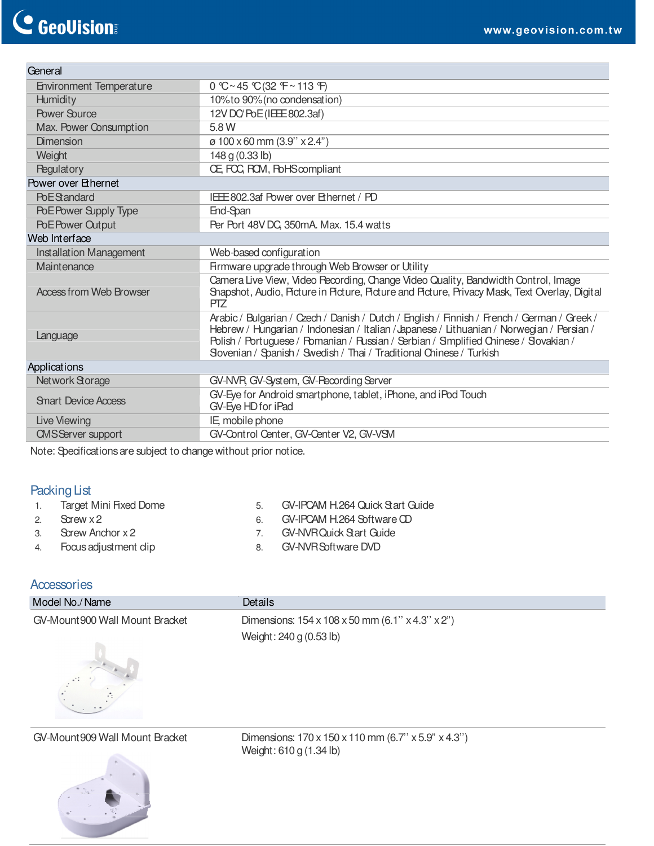| General                        |                                                                                                                                                                                                                                                                                                                                                          |  |
|--------------------------------|----------------------------------------------------------------------------------------------------------------------------------------------------------------------------------------------------------------------------------------------------------------------------------------------------------------------------------------------------------|--|
| <b>Environment Temperature</b> | $0$ °C ~ 45 °C (32 °F ~ 113 °F)                                                                                                                                                                                                                                                                                                                          |  |
| Humidity                       | 10% to 90% (no condensation)                                                                                                                                                                                                                                                                                                                             |  |
| <b>Power Source</b>            | 12V DC/PoE (IEEE 802.3af)                                                                                                                                                                                                                                                                                                                                |  |
| Max. Power Consumption         | 5.8 W                                                                                                                                                                                                                                                                                                                                                    |  |
| Dimension                      | $\varnothing$ 100 x 60 mm (3.9" x 2.4")                                                                                                                                                                                                                                                                                                                  |  |
| Weight                         | 148 g (0.33 lb)                                                                                                                                                                                                                                                                                                                                          |  |
| <b>Regulatory</b>              | CE, FCC, ROM, PoHScompliant                                                                                                                                                                                                                                                                                                                              |  |
| Power over Ethernet            |                                                                                                                                                                                                                                                                                                                                                          |  |
| PoEStandard                    | IFFE 802.3af Power over Bhernet / PD                                                                                                                                                                                                                                                                                                                     |  |
| PoEPower Supply Type           | End-Span                                                                                                                                                                                                                                                                                                                                                 |  |
| PoE Power Output               | Per Port 48V DC, 350mA. Max. 15.4 watts                                                                                                                                                                                                                                                                                                                  |  |
| Web Interface                  |                                                                                                                                                                                                                                                                                                                                                          |  |
| Installation Management        | Web-based configuration                                                                                                                                                                                                                                                                                                                                  |  |
| Maintenance                    | Firmware upgrade through Web Browser or Utility                                                                                                                                                                                                                                                                                                          |  |
| Access from Web Browser        | Camera Live View, Video Pecording, Change Video Quality, Bandwidth Control, Image<br>Shapshot, Audio, Picture in Picture, Picture and Picture, Privacy Mask, Text Overlay, Digital<br><b>PTZ</b>                                                                                                                                                         |  |
| Language                       | Arabic / Bulgarian / Czech / Danish / Dutch / English / Finnish / French / German / Greek /<br>Hebrew / Hungarian / Indonesian / Italian / Japanese / Lithuanian / Norwegian / Persian /<br>Polish / Portuguese / Pomanian / Russian / Serbian / Smplified Chinese / Slovakian /<br>Slovenian / Spanish / Swedish / Thai / Traditional Chinese / Turkish |  |
| Applications                   |                                                                                                                                                                                                                                                                                                                                                          |  |
| Network Storage                | GV-NVR, GV-System, GV-Pecording Server                                                                                                                                                                                                                                                                                                                   |  |
| <b>Smart Device Access</b>     | GV-Eye for Android smartphone, tablet, iPhone, and iPod Touch<br>GV-Eye HD for iPad                                                                                                                                                                                                                                                                      |  |
| Live Viewing                   | IE, mobile phone                                                                                                                                                                                                                                                                                                                                         |  |
| <b>CMSServer support</b>       | GV-Control Center, GV-Center V2, GV-VSM                                                                                                                                                                                                                                                                                                                  |  |

Note: Specifications are subject to change without prior notice.

# Packing List

| Target Mini Fixed Dome | GV-IPCAM H.264 Quick Start Guide |
|------------------------|----------------------------------|
| 2. Screw x 2           | GV-IPCAM H.264 Software CD       |

- 3. Screw Anchor x 2
- 4. Focus adjustment clip
- 7. GV-NVR Quick Start Guide
- 8. GV-NVR Software DVD

## **Accessories**

| Model No./Name                                                     | Details                                                                                               |
|--------------------------------------------------------------------|-------------------------------------------------------------------------------------------------------|
| GV-Mount 900 Wall Mount Bracket<br>$\ddot{\phantom{a}}$<br>$\cdot$ | Dimensions: $154 \times 108 \times 50$ mm (6.1" $\times$ 4.3" $\times$ 2")<br>Weight: 240 g (0.53 lb) |



GV-Mount909 Wall Mount Bracket Dimensions: 170 x 150 x 110 mm (6.7" x 5.9" x 4.3") Weight: 610 g (1.34 lb)